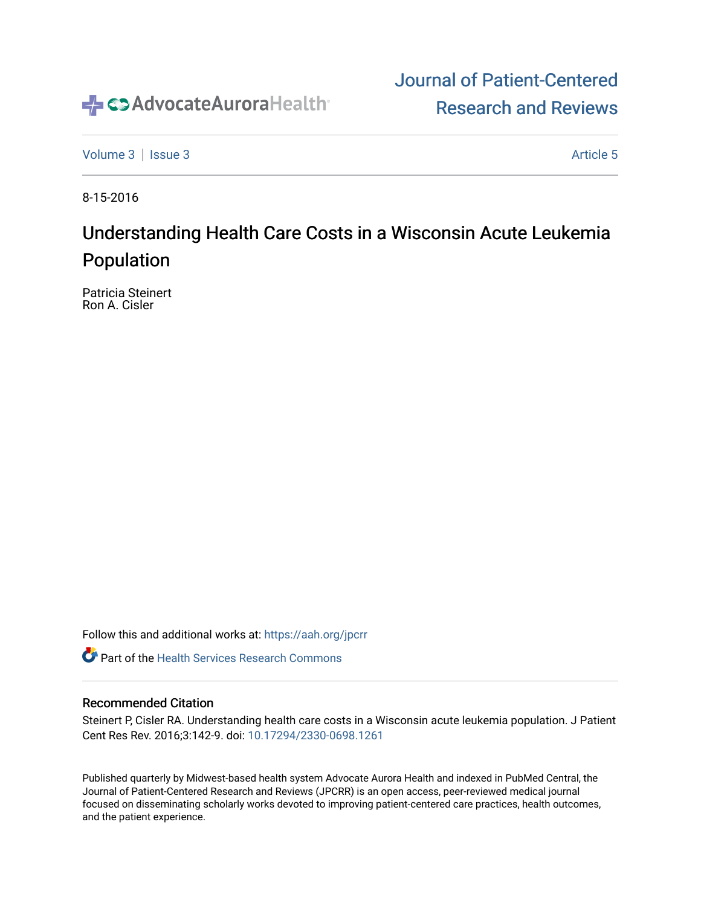

# [Journal of Patient-Centered](https://institutionalrepository.aah.org/jpcrr)  [Research and Reviews](https://institutionalrepository.aah.org/jpcrr)

[Volume 3](https://institutionalrepository.aah.org/jpcrr/vol3) | [Issue 3](https://institutionalrepository.aah.org/jpcrr/vol3/iss3) Article 5

8-15-2016

# Understanding Health Care Costs in a Wisconsin Acute Leukemia Population

Patricia Steinert Ron A. Cisler

Follow this and additional works at: [https://aah.org/jpcrr](https://institutionalrepository.aah.org/jpcrr?utm_source=institutionalrepository.aah.org%2Fjpcrr%2Fvol3%2Fiss3%2F5&utm_medium=PDF&utm_campaign=PDFCoverPages) 

**C** Part of the Health Services Research Commons

## Recommended Citation

Steinert P, Cisler RA. Understanding health care costs in a Wisconsin acute leukemia population. J Patient Cent Res Rev. 2016;3:142-9. doi: [10.17294/2330-0698.1261](http://dx.doi.org/10.17294/2330-0698.1261)

Published quarterly by Midwest-based health system Advocate Aurora Health and indexed in PubMed Central, the Journal of Patient-Centered Research and Reviews (JPCRR) is an open access, peer-reviewed medical journal focused on disseminating scholarly works devoted to improving patient-centered care practices, health outcomes, and the patient experience.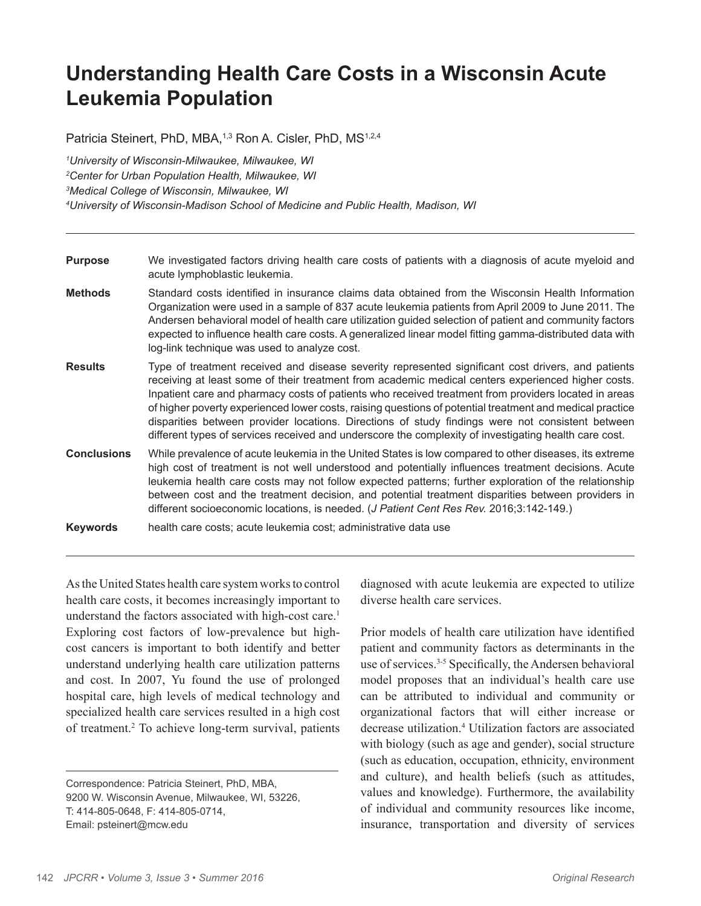# **Understanding Health Care Costs in a Wisconsin Acute Leukemia Population**

Patricia Steinert, PhD, MBA,<sup>1,3</sup> Ron A. Cisler, PhD, MS<sup>1,2,4</sup>

 *University of Wisconsin-Milwaukee, Milwaukee, WI Center for Urban Population Health, Milwaukee, WI Medical College of Wisconsin, Milwaukee, WI University of Wisconsin-Madison School of Medicine and Public Health, Madison, WI*

| <b>Purpose</b>     | We investigated factors driving health care costs of patients with a diagnosis of acute myeloid and<br>acute lymphoblastic leukemia.                                                                                                                                                                                                                                                                                                                                                                                                                                                                                                      |
|--------------------|-------------------------------------------------------------------------------------------------------------------------------------------------------------------------------------------------------------------------------------------------------------------------------------------------------------------------------------------------------------------------------------------------------------------------------------------------------------------------------------------------------------------------------------------------------------------------------------------------------------------------------------------|
| <b>Methods</b>     | Standard costs identified in insurance claims data obtained from the Wisconsin Health Information<br>Organization were used in a sample of 837 acute leukemia patients from April 2009 to June 2011. The<br>Andersen behavioral model of health care utilization guided selection of patient and community factors<br>expected to influence health care costs. A generalized linear model fitting gamma-distributed data with<br>log-link technique was used to analyze cost.                                                                                                                                                             |
| <b>Results</b>     | Type of treatment received and disease severity represented significant cost drivers, and patients<br>receiving at least some of their treatment from academic medical centers experienced higher costs.<br>Inpatient care and pharmacy costs of patients who received treatment from providers located in areas<br>of higher poverty experienced lower costs, raising questions of potential treatment and medical practice<br>disparities between provider locations. Directions of study findings were not consistent between<br>different types of services received and underscore the complexity of investigating health care cost. |
| <b>Conclusions</b> | While prevalence of acute leukemia in the United States is low compared to other diseases, its extreme<br>high cost of treatment is not well understood and potentially influences treatment decisions. Acute<br>leukemia health care costs may not follow expected patterns; further exploration of the relationship<br>between cost and the treatment decision, and potential treatment disparities between providers in<br>different socioeconomic locations, is needed. (J Patient Cent Res Rev. 2016;3:142-149.)                                                                                                                     |
| <b>Keywords</b>    | health care costs; acute leukemia cost; administrative data use                                                                                                                                                                                                                                                                                                                                                                                                                                                                                                                                                                           |

As the United States health care system works to control health care costs, it becomes increasingly important to understand the factors associated with high-cost care.<sup>1</sup> Exploring cost factors of low-prevalence but highcost cancers is important to both identify and better understand underlying health care utilization patterns and cost. In 2007, Yu found the use of prolonged hospital care, high levels of medical technology and specialized health care services resulted in a high cost of treatment.<sup>2</sup> To achieve long-term survival, patients diagnosed with acute leukemia are expected to utilize diverse health care services.

Prior models of health care utilization have identified patient and community factors as determinants in the use of services.<sup>3-5</sup> Specifically, the Andersen behavioral model proposes that an individual's health care use can be attributed to individual and community or organizational factors that will either increase or decrease utilization.4 Utilization factors are associated with biology (such as age and gender), social structure (such as education, occupation, ethnicity, environment and culture), and health beliefs (such as attitudes, values and knowledge). Furthermore, the availability of individual and community resources like income, insurance, transportation and diversity of services

Correspondence: Patricia Steinert, PhD, MBA, 9200 W. Wisconsin Avenue, Milwaukee, WI, 53226, T: 414-805-0648, F: 414-805-0714, Email: psteinert@mcw.edu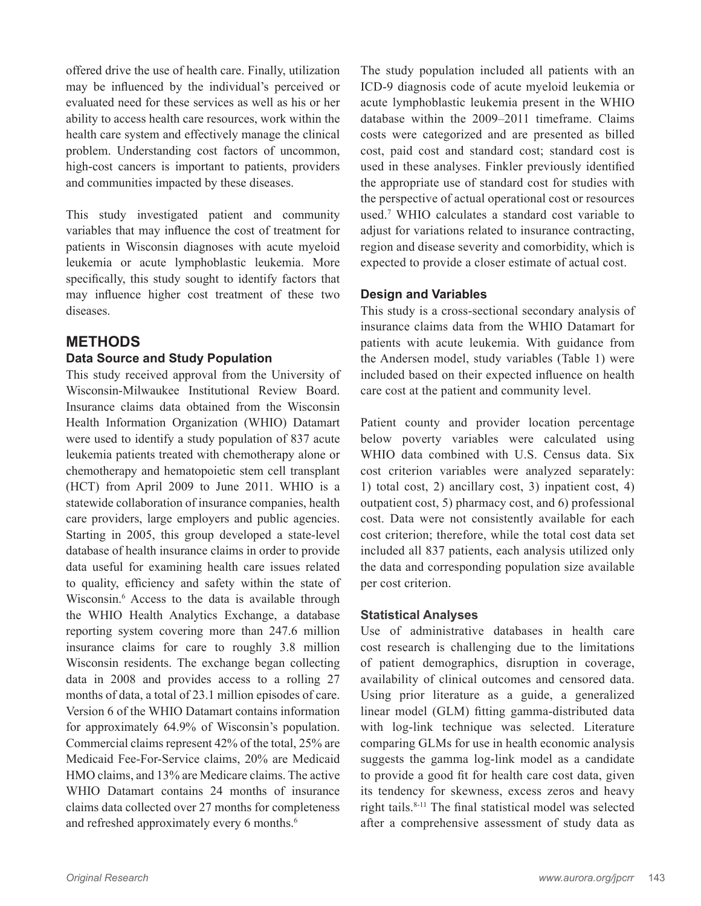offered drive the use of health care. Finally, utilization may be influenced by the individual's perceived or evaluated need for these services as well as his or her ability to access health care resources, work within the health care system and effectively manage the clinical problem. Understanding cost factors of uncommon, high-cost cancers is important to patients, providers and communities impacted by these diseases.

This study investigated patient and community variables that may influence the cost of treatment for patients in Wisconsin diagnoses with acute myeloid leukemia or acute lymphoblastic leukemia. More specifically, this study sought to identify factors that may influence higher cost treatment of these two diseases.

## **METHODS**

## **Data Source and Study Population**

This study received approval from the University of Wisconsin-Milwaukee Institutional Review Board. Insurance claims data obtained from the Wisconsin Health Information Organization (WHIO) Datamart were used to identify a study population of 837 acute leukemia patients treated with chemotherapy alone or chemotherapy and hematopoietic stem cell transplant (HCT) from April 2009 to June 2011. WHIO is a statewide collaboration of insurance companies, health care providers, large employers and public agencies. Starting in 2005, this group developed a state-level database of health insurance claims in order to provide data useful for examining health care issues related to quality, efficiency and safety within the state of Wisconsin.6 Access to the data is available through the WHIO Health Analytics Exchange, a database reporting system covering more than 247.6 million insurance claims for care to roughly 3.8 million Wisconsin residents. The exchange began collecting data in 2008 and provides access to a rolling 27 months of data, a total of 23.1 million episodes of care. Version 6 of the WHIO Datamart contains information for approximately 64.9% of Wisconsin's population. Commercial claims represent 42% of the total, 25% are Medicaid Fee-For-Service claims, 20% are Medicaid HMO claims, and 13% are Medicare claims. The active WHIO Datamart contains 24 months of insurance claims data collected over 27 months for completeness and refreshed approximately every 6 months.<sup>6</sup>

The study population included all patients with an ICD-9 diagnosis code of acute myeloid leukemia or acute lymphoblastic leukemia present in the WHIO database within the 2009–2011 timeframe. Claims costs were categorized and are presented as billed cost, paid cost and standard cost; standard cost is used in these analyses. Finkler previously identified the appropriate use of standard cost for studies with the perspective of actual operational cost or resources used.7 WHIO calculates a standard cost variable to adjust for variations related to insurance contracting, region and disease severity and comorbidity, which is expected to provide a closer estimate of actual cost.

### **Design and Variables**

This study is a cross-sectional secondary analysis of insurance claims data from the WHIO Datamart for patients with acute leukemia. With guidance from the Andersen model, study variables (Table 1) were included based on their expected influence on health care cost at the patient and community level.

Patient county and provider location percentage below poverty variables were calculated using WHIO data combined with U.S. Census data. Six cost criterion variables were analyzed separately: 1) total cost, 2) ancillary cost, 3) inpatient cost, 4) outpatient cost, 5) pharmacy cost, and 6) professional cost. Data were not consistently available for each cost criterion; therefore, while the total cost data set included all 837 patients, each analysis utilized only the data and corresponding population size available per cost criterion.

#### **Statistical Analyses**

Use of administrative databases in health care cost research is challenging due to the limitations of patient demographics, disruption in coverage, availability of clinical outcomes and censored data. Using prior literature as a guide, a generalized linear model (GLM) fitting gamma-distributed data with log-link technique was selected. Literature comparing GLMs for use in health economic analysis suggests the gamma log-link model as a candidate to provide a good fit for health care cost data, given its tendency for skewness, excess zeros and heavy right tails.8-11 The final statistical model was selected after a comprehensive assessment of study data as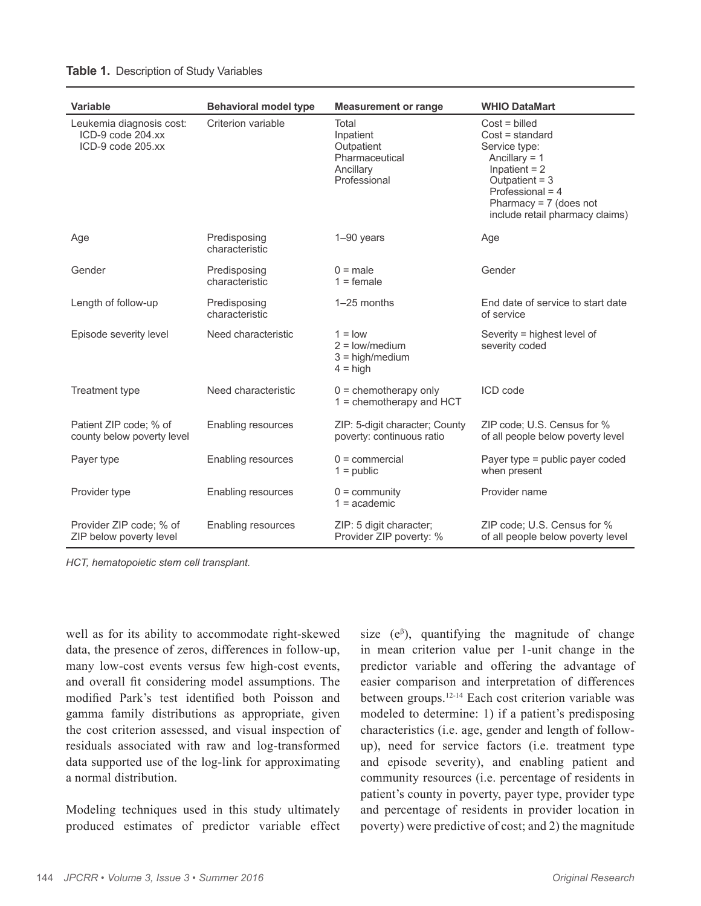| Variable                                                           | <b>Behavioral model type</b>   | <b>Measurement or range</b>                                                     | <b>WHIO DataMart</b>                                                                                                                                                                         |
|--------------------------------------------------------------------|--------------------------------|---------------------------------------------------------------------------------|----------------------------------------------------------------------------------------------------------------------------------------------------------------------------------------------|
| Leukemia diagnosis cost:<br>ICD-9 code 204.xx<br>ICD-9 code 205.xx | Criterion variable             | Total<br>Inpatient<br>Outpatient<br>Pharmaceutical<br>Ancillary<br>Professional | $Cost = $<br>$Cost = standard$<br>Service type:<br>Ancillary $= 1$<br>Inpatient $= 2$<br>Outpatient = $3$<br>Professional = 4<br>Pharmacy = $7$ (does not<br>include retail pharmacy claims) |
| Age                                                                | Predisposing<br>characteristic | $1-90$ years                                                                    | Age                                                                                                                                                                                          |
| Gender                                                             | Predisposing<br>characteristic | $0 = male$<br>$1 =$ female                                                      | Gender                                                                                                                                                                                       |
| Length of follow-up                                                | Predisposing<br>characteristic | 1-25 months                                                                     | End date of service to start date<br>of service                                                                                                                                              |
| Episode severity level                                             | Need characteristic            | $1 =$ low<br>$2 = low/medium$<br>$3 = high/medium$<br>$4 = high$                | Severity = highest level of<br>severity coded                                                                                                                                                |
| Treatment type                                                     | Need characteristic            | $0 =$ chemotherapy only<br>1 = chemotherapy and HCT                             | ICD code                                                                                                                                                                                     |
| Patient ZIP code; % of<br>county below poverty level               | <b>Enabling resources</b>      | ZIP: 5-digit character; County<br>poverty: continuous ratio                     | ZIP code; U.S. Census for %<br>of all people below poverty level                                                                                                                             |
| Payer type                                                         | Enabling resources             | $0 =$ commercial<br>$1 =$ public                                                | Payer type = public payer coded<br>when present                                                                                                                                              |
| Provider type                                                      | Enabling resources             | $0 =$ community<br>$1 = academic$                                               | Provider name                                                                                                                                                                                |
| Provider ZIP code; % of<br>ZIP below poverty level                 | Enabling resources             | ZIP: 5 digit character;<br>Provider ZIP poverty: %                              | ZIP code; U.S. Census for %<br>of all people below poverty level                                                                                                                             |

#### **Table 1.** Description of Study Variables

*HCT, hematopoietic stem cell transplant.*

well as for its ability to accommodate right-skewed data, the presence of zeros, differences in follow-up, many low-cost events versus few high-cost events, and overall fit considering model assumptions. The modified Park's test identified both Poisson and gamma family distributions as appropriate, given the cost criterion assessed, and visual inspection of residuals associated with raw and log-transformed data supported use of the log-link for approximating a normal distribution.

Modeling techniques used in this study ultimately produced estimates of predictor variable effect

size  $(e^{\beta})$ , quantifying the magnitude of change in mean criterion value per 1-unit change in the predictor variable and offering the advantage of easier comparison and interpretation of differences between groups.12-14 Each cost criterion variable was modeled to determine: 1) if a patient's predisposing characteristics (i.e. age, gender and length of followup), need for service factors (i.e. treatment type and episode severity), and enabling patient and community resources (i.e. percentage of residents in patient's county in poverty, payer type, provider type and percentage of residents in provider location in poverty) were predictive of cost; and 2) the magnitude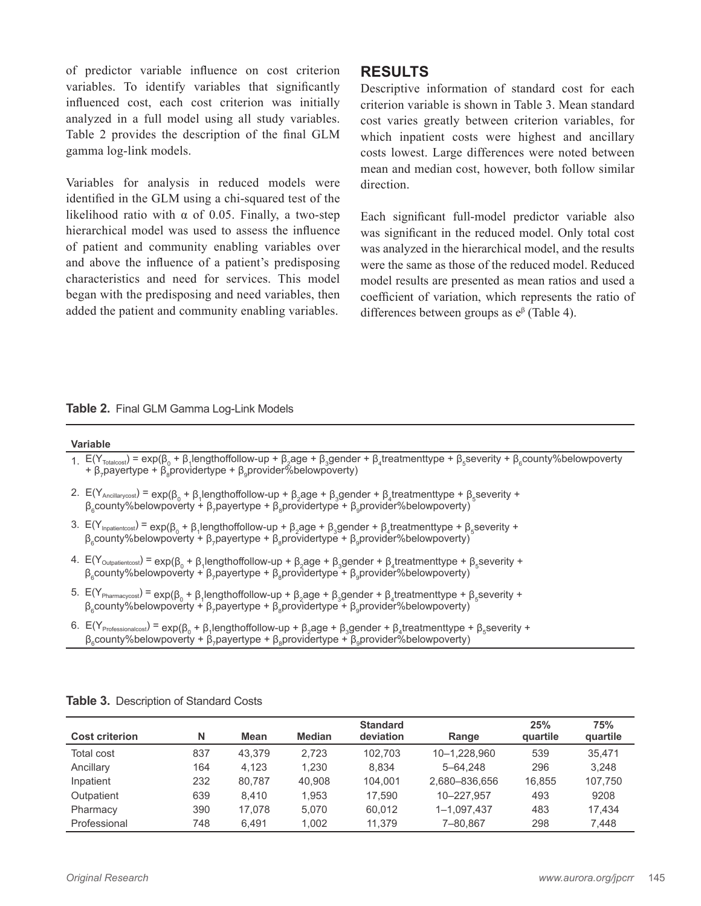of predictor variable influence on cost criterion variables. To identify variables that significantly influenced cost, each cost criterion was initially analyzed in a full model using all study variables. Table 2 provides the description of the final GLM gamma log-link models.

Variables for analysis in reduced models were identified in the GLM using a chi-squared test of the likelihood ratio with  $\alpha$  of 0.05. Finally, a two-step hierarchical model was used to assess the influence of patient and community enabling variables over and above the influence of a patient's predisposing characteristics and need for services. This model began with the predisposing and need variables, then added the patient and community enabling variables.

## **RESULTS**

Descriptive information of standard cost for each criterion variable is shown in Table 3. Mean standard cost varies greatly between criterion variables, for which inpatient costs were highest and ancillary costs lowest. Large differences were noted between mean and median cost, however, both follow similar direction.

Each significant full-model predictor variable also was significant in the reduced model. Only total cost was analyzed in the hierarchical model, and the results were the same as those of the reduced model. Reduced model results are presented as mean ratios and used a coefficient of variation, which represents the ratio of differences between groups as e<sup>β</sup> (Table 4).

#### **Table 2.** Final GLM Gamma Log-Link Models

#### **Variable**

- 1.  $E(Y_{\text{Totalcost}})$  = exp( $\beta_0 + \beta_1$ lengthoffollow-up +  $\beta_2$ age +  $\beta_3$ gender +  $\beta_4$ treatmenttype +  $\beta_5$ severity +  $\beta_6$ county%belowpoverty +  $\beta_7$ payertype +  $\beta_8$ providertype +  $\beta_9$ provider%belowpoverty)
- 2.  $E(Y_{\text{Ancillarycost}}) = \exp(\beta_0 + \beta_1 \text{lengthoffollow-up} + \beta_2 \text{age} + \beta_3 \text{gender} + \beta_4 \text{treatmenttype} + \beta_5 \text{severity} + \beta_6 \text{energy} + \beta_7 \text{length} + \beta_8 \text{weight} + \beta_9 \text{weight} + \beta_9 \text{weight} + \beta_9 \text{weight} + \beta_1 \text{weight} + \beta_9 \text{weight} + \beta_9 \text{weight} + \beta_1 \text{weight} + \beta_9 \text{weight} + \beta_1 \text{weight} + \beta_1 \text{weight} + \beta_1 \text{weight}$  $β_6$ county%belowpoverty + β<sub>7</sub>payertype + β<sub>8</sub>providertype + β<sub>9</sub>provider%belowpoverty)
- 3.  $E(Y_{\text{Inpatient cost}}) = \exp(\beta_0 + \beta_1 \text{lengthoffollow-up} + \beta_2 \text{age} + \beta_3 \text{gender} + \beta_4 \text{treatmenttype} + \beta_5 \text{severity} + \beta_6 \text{exp}(\beta_7 + \beta_7 \text{length}) + \beta_7 \text{exp}(\beta_8 + \beta_8 \text{depth})$  $β_6$ county%belowpoverty + β<sub>7</sub>payertype + β<sub>8</sub>providertype + β<sub>9</sub>provider%belowpoverty)
- 4.  $E(Y_{\text{Output}} = \exp(\beta_0 + \beta_1)$  lengthoffollow-up +  $\beta_2$ age +  $\beta_3$ gender +  $\beta_4$ treatmenttype +  $\beta_5$ severity +  $β_6$ county%belowpoverty + β<sub>7</sub>payertype + β<sub>8</sub>providertype + β<sub>9</sub>provider%belowpoverty)
- 5.  $E(Y_{\text{Pharmacycost}}) = \exp(\beta_0 + \beta_1)$  engthoffollow-up + β<sub>2</sub>age + β<sub>3</sub>gender + β<sub>4</sub> treatmenttype + β<sub>5</sub> severity + β<sub>6</sub>county%belowpoverty + β<sub>7</sub>payertype + β<sub>8</sub>providertype + β<sub>9</sub>provider%belowpoverty)
- 6. E(YProfessionalcost) = exp(β<sup>0</sup> <sup>+</sup> <sup>β</sup><sup>1</sup> lengthoffollow-up + β<sup>2</sup> age + β<sup>3</sup> gender + β<sup>4</sup> treatmenttype + β<sup>5</sup> severity +  $β_6$ county%belowpoverty + β<sub>7</sub>payertype + β<sub>8</sub>providertype + β<sub>9</sub>provider%belowpoverty)

| <b>Cost criterion</b> | Ν   | Mean   | <b>Median</b> | <b>Standard</b><br>deviation | Range         | 25%<br>quartile | 75%<br>quartile |
|-----------------------|-----|--------|---------------|------------------------------|---------------|-----------------|-----------------|
| Total cost            | 837 | 43.379 | 2.723         | 102.703                      | 10-1.228.960  | 539             | 35.471          |
| Ancillary             | 164 | 4.123  | 1.230         | 8.834                        | 5-64.248      | 296             | 3.248           |
| Inpatient             | 232 | 80.787 | 40.908        | 104.001                      | 2.680-836.656 | 16.855          | 107.750         |
| Outpatient            | 639 | 8.410  | 1.953         | 17.590                       | 10-227.957    | 493             | 9208            |
| Pharmacy              | 390 | 17.078 | 5.070         | 60.012                       | 1-1,097,437   | 483             | 17.434          |
| Professional          | 748 | 6.491  | 1.002         | 11.379                       | 7-80.867      | 298             | 7.448           |

**Table 3.** Description of Standard Costs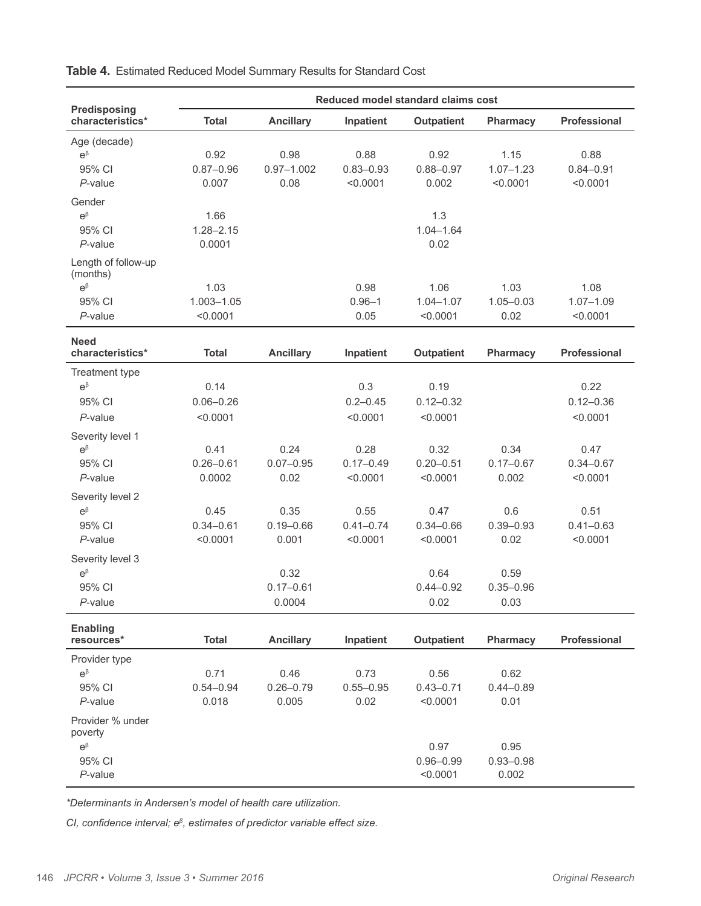| Predisposing                                                                                                                                                                                                                     | Reduced model standard claims cost                                                                        |                                                                                                    |                                                                                                           |                                                                                                                                              |                                                                                                 |                                                                                                             |  |  |
|----------------------------------------------------------------------------------------------------------------------------------------------------------------------------------------------------------------------------------|-----------------------------------------------------------------------------------------------------------|----------------------------------------------------------------------------------------------------|-----------------------------------------------------------------------------------------------------------|----------------------------------------------------------------------------------------------------------------------------------------------|-------------------------------------------------------------------------------------------------|-------------------------------------------------------------------------------------------------------------|--|--|
| characteristics*                                                                                                                                                                                                                 | <b>Total</b>                                                                                              | <b>Ancillary</b>                                                                                   | Inpatient                                                                                                 | <b>Outpatient</b>                                                                                                                            | <b>Pharmacy</b>                                                                                 | <b>Professional</b>                                                                                         |  |  |
| Age (decade)<br>$e^{\beta}$<br>95% CI<br>$P$ -value                                                                                                                                                                              | 0.92<br>$0.87 - 0.96$<br>0.007                                                                            | 0.98<br>$0.97 - 1.002$<br>0.08                                                                     | 0.88<br>$0.83 - 0.93$<br>< 0.0001                                                                         | 0.92<br>$0.88 - 0.97$<br>0.002                                                                                                               | 1.15<br>$1.07 - 1.23$<br>< 0.0001                                                               | 0.88<br>$0.84 - 0.91$<br>< 0.0001                                                                           |  |  |
| Gender<br>$e^{\beta}$<br>95% CI<br>$P$ -value<br>Length of follow-up<br>(months)                                                                                                                                                 | 1.66<br>$1.28 - 2.15$<br>0.0001                                                                           |                                                                                                    |                                                                                                           | 1.3<br>$1.04 - 1.64$<br>0.02                                                                                                                 |                                                                                                 |                                                                                                             |  |  |
| $\mathrm{e}^\beta$<br>95% CI<br>$P$ -value                                                                                                                                                                                       | 1.03<br>1.003-1.05<br>< 0.0001                                                                            |                                                                                                    | 0.98<br>$0.96 - 1$<br>0.05                                                                                | 1.06<br>$1.04 - 1.07$<br>< 0.0001                                                                                                            | 1.03<br>$1.05 - 0.03$<br>0.02                                                                   | 1.08<br>$1.07 - 1.09$<br>< 0.0001                                                                           |  |  |
| <b>Need</b><br>characteristics*                                                                                                                                                                                                  | <b>Total</b>                                                                                              | <b>Ancillary</b>                                                                                   | Inpatient                                                                                                 | <b>Outpatient</b>                                                                                                                            | Pharmacy                                                                                        | Professional                                                                                                |  |  |
| Treatment type<br>$e^{\beta}$<br>95% CI<br>P-value<br>Severity level 1<br>$e^{\beta}$<br>95% CI<br>P-value<br>Severity level 2<br>$e^{\beta}$<br>95% CI<br>$P$ -value<br>Severity level 3<br>$e^{\beta}$<br>95% CI<br>$P$ -value | 0.14<br>$0.06 - 0.26$<br>< 0.0001<br>0.41<br>$0.26 - 0.61$<br>0.0002<br>0.45<br>$0.34 - 0.61$<br>< 0.0001 | 0.24<br>$0.07 - 0.95$<br>0.02<br>0.35<br>$0.19 - 0.66$<br>0.001<br>0.32<br>$0.17 - 0.61$<br>0.0004 | 0.3<br>$0.2 - 0.45$<br>< 0.0001<br>0.28<br>$0.17 - 0.49$<br>< 0.0001<br>0.55<br>$0.41 - 0.74$<br>< 0.0001 | 0.19<br>$0.12 - 0.32$<br>< 0.0001<br>0.32<br>$0.20 - 0.51$<br>< 0.0001<br>0.47<br>$0.34 - 0.66$<br>< 0.0001<br>0.64<br>$0.44 - 0.92$<br>0.02 | 0.34<br>$0.17 - 0.67$<br>0.002<br>0.6<br>$0.39 - 0.93$<br>0.02<br>0.59<br>$0.35 - 0.96$<br>0.03 | 0.22<br>$0.12 - 0.36$<br>< 0.0001<br>0.47<br>$0.34 - 0.67$<br>< 0.0001<br>0.51<br>$0.41 - 0.63$<br>< 0.0001 |  |  |
| <b>Enabling</b><br>resources*                                                                                                                                                                                                    | <b>Total</b>                                                                                              | <b>Ancillary</b>                                                                                   | Inpatient                                                                                                 | <b>Outpatient</b>                                                                                                                            | Pharmacy                                                                                        | Professional                                                                                                |  |  |
| Provider type<br>$e^{\beta}$<br>95% CI<br>P-value<br>Provider % under                                                                                                                                                            | 0.71<br>$0.54 - 0.94$<br>0.018                                                                            | 0.46<br>$0.26 - 0.79$<br>0.005                                                                     | 0.73<br>$0.55 - 0.95$<br>0.02                                                                             | 0.56<br>$0.43 - 0.71$<br>< 0.0001                                                                                                            | 0.62<br>$0.44 - 0.89$<br>0.01                                                                   |                                                                                                             |  |  |
| poverty<br>$\mathsf{e}^\beta$<br>95% CI<br>$P$ -value                                                                                                                                                                            |                                                                                                           |                                                                                                    |                                                                                                           | 0.97<br>$0.96 - 0.99$<br>< 0.0001                                                                                                            | 0.95<br>$0.93 - 0.98$<br>0.002                                                                  |                                                                                                             |  |  |

**Table 4.** Estimated Reduced Model Summary Results for Standard Cost

*\*Determinants in Andersen's model of health care utilization.*

*CI, confidence interval; eβ, estimates of predictor variable effect size.*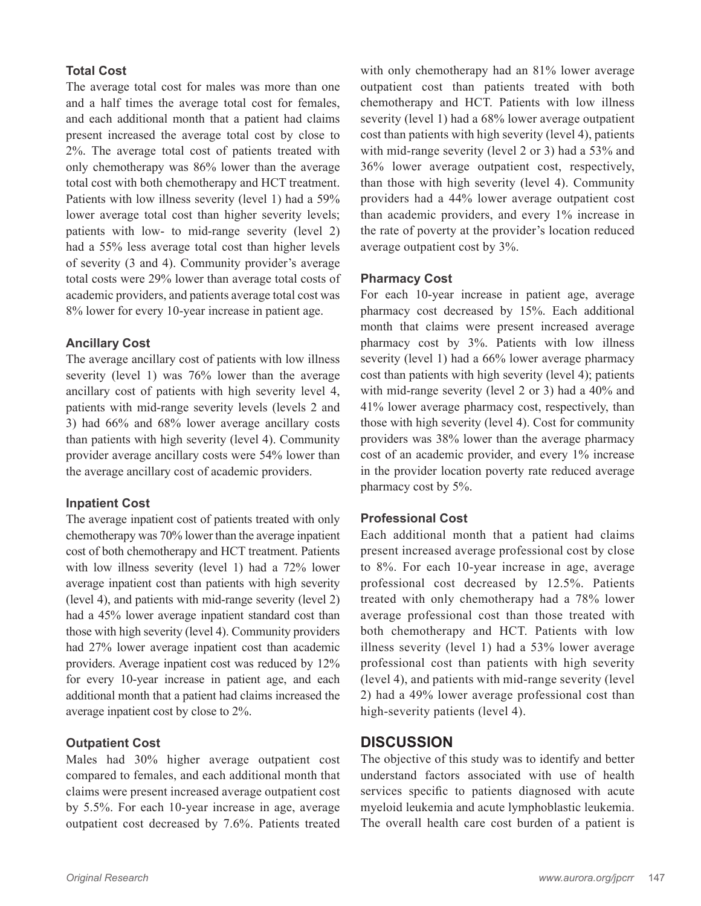## **Total Cost**

The average total cost for males was more than one and a half times the average total cost for females, and each additional month that a patient had claims present increased the average total cost by close to 2%. The average total cost of patients treated with only chemotherapy was 86% lower than the average total cost with both chemotherapy and HCT treatment. Patients with low illness severity (level 1) had a 59% lower average total cost than higher severity levels; patients with low- to mid-range severity (level 2) had a 55% less average total cost than higher levels of severity (3 and 4). Community provider's average total costs were 29% lower than average total costs of academic providers, and patients average total cost was 8% lower for every 10-year increase in patient age.

### **Ancillary Cost**

The average ancillary cost of patients with low illness severity (level 1) was 76% lower than the average ancillary cost of patients with high severity level 4, patients with mid-range severity levels (levels 2 and 3) had 66% and 68% lower average ancillary costs than patients with high severity (level 4). Community provider average ancillary costs were 54% lower than the average ancillary cost of academic providers.

#### **Inpatient Cost**

The average inpatient cost of patients treated with only chemotherapy was 70% lower than the average inpatient cost of both chemotherapy and HCT treatment. Patients with low illness severity (level 1) had a 72% lower average inpatient cost than patients with high severity (level 4), and patients with mid-range severity (level 2) had a 45% lower average inpatient standard cost than those with high severity (level 4). Community providers had 27% lower average inpatient cost than academic providers. Average inpatient cost was reduced by 12% for every 10-year increase in patient age, and each additional month that a patient had claims increased the average inpatient cost by close to 2%.

## **Outpatient Cost**

Males had 30% higher average outpatient cost compared to females, and each additional month that claims were present increased average outpatient cost by 5.5%. For each 10-year increase in age, average outpatient cost decreased by 7.6%. Patients treated with only chemotherapy had an 81% lower average outpatient cost than patients treated with both chemotherapy and HCT. Patients with low illness severity (level 1) had a 68% lower average outpatient cost than patients with high severity (level 4), patients with mid-range severity (level 2 or 3) had a 53% and 36% lower average outpatient cost, respectively, than those with high severity (level 4). Community providers had a 44% lower average outpatient cost than academic providers, and every 1% increase in the rate of poverty at the provider's location reduced average outpatient cost by 3%.

## **Pharmacy Cost**

For each 10-year increase in patient age, average pharmacy cost decreased by 15%. Each additional month that claims were present increased average pharmacy cost by 3%. Patients with low illness severity (level 1) had a 66% lower average pharmacy cost than patients with high severity (level 4); patients with mid-range severity (level 2 or 3) had a 40% and 41% lower average pharmacy cost, respectively, than those with high severity (level 4). Cost for community providers was 38% lower than the average pharmacy cost of an academic provider, and every 1% increase in the provider location poverty rate reduced average pharmacy cost by 5%.

## **Professional Cost**

Each additional month that a patient had claims present increased average professional cost by close to 8%. For each 10-year increase in age, average professional cost decreased by 12.5%. Patients treated with only chemotherapy had a 78% lower average professional cost than those treated with both chemotherapy and HCT. Patients with low illness severity (level 1) had a 53% lower average professional cost than patients with high severity (level 4), and patients with mid-range severity (level 2) had a 49% lower average professional cost than high-severity patients (level 4).

## **DISCUSSION**

The objective of this study was to identify and better understand factors associated with use of health services specific to patients diagnosed with acute myeloid leukemia and acute lymphoblastic leukemia. The overall health care cost burden of a patient is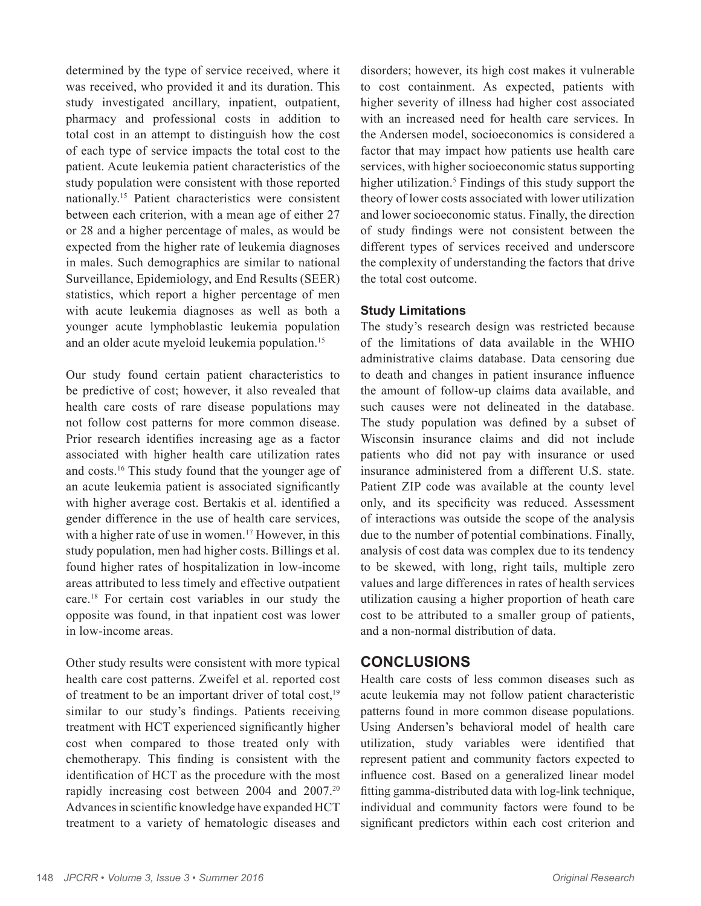determined by the type of service received, where it was received, who provided it and its duration. This study investigated ancillary, inpatient, outpatient, pharmacy and professional costs in addition to total cost in an attempt to distinguish how the cost of each type of service impacts the total cost to the patient. Acute leukemia patient characteristics of the study population were consistent with those reported nationally.15 Patient characteristics were consistent between each criterion, with a mean age of either 27 or 28 and a higher percentage of males, as would be expected from the higher rate of leukemia diagnoses in males. Such demographics are similar to national Surveillance, Epidemiology, and End Results (SEER) statistics, which report a higher percentage of men with acute leukemia diagnoses as well as both a younger acute lymphoblastic leukemia population and an older acute myeloid leukemia population.<sup>15</sup>

Our study found certain patient characteristics to be predictive of cost; however, it also revealed that health care costs of rare disease populations may not follow cost patterns for more common disease. Prior research identifies increasing age as a factor associated with higher health care utilization rates and costs.16 This study found that the younger age of an acute leukemia patient is associated significantly with higher average cost. Bertakis et al. identified a gender difference in the use of health care services, with a higher rate of use in women.<sup>17</sup> However, in this study population, men had higher costs. Billings et al. found higher rates of hospitalization in low-income areas attributed to less timely and effective outpatient care.18 For certain cost variables in our study the opposite was found, in that inpatient cost was lower in low-income areas.

Other study results were consistent with more typical health care cost patterns. Zweifel et al. reported cost of treatment to be an important driver of total cost, $19$ similar to our study's findings. Patients receiving treatment with HCT experienced significantly higher cost when compared to those treated only with chemotherapy. This finding is consistent with the identification of HCT as the procedure with the most rapidly increasing cost between 2004 and 2007.20 Advances in scientific knowledge have expanded HCT treatment to a variety of hematologic diseases and disorders; however, its high cost makes it vulnerable to cost containment. As expected, patients with higher severity of illness had higher cost associated with an increased need for health care services. In the Andersen model, socioeconomics is considered a factor that may impact how patients use health care services, with higher socioeconomic status supporting higher utilization.<sup>5</sup> Findings of this study support the theory of lower costs associated with lower utilization and lower socioeconomic status. Finally, the direction of study findings were not consistent between the different types of services received and underscore the complexity of understanding the factors that drive the total cost outcome.

### **Study Limitations**

The study's research design was restricted because of the limitations of data available in the WHIO administrative claims database. Data censoring due to death and changes in patient insurance influence the amount of follow-up claims data available, and such causes were not delineated in the database. The study population was defined by a subset of Wisconsin insurance claims and did not include patients who did not pay with insurance or used insurance administered from a different U.S. state. Patient ZIP code was available at the county level only, and its specificity was reduced. Assessment of interactions was outside the scope of the analysis due to the number of potential combinations. Finally, analysis of cost data was complex due to its tendency to be skewed, with long, right tails, multiple zero values and large differences in rates of health services utilization causing a higher proportion of heath care cost to be attributed to a smaller group of patients, and a non-normal distribution of data.

## **CONCLUSIONS**

Health care costs of less common diseases such as acute leukemia may not follow patient characteristic patterns found in more common disease populations. Using Andersen's behavioral model of health care utilization, study variables were identified that represent patient and community factors expected to influence cost. Based on a generalized linear model fitting gamma-distributed data with log-link technique, individual and community factors were found to be significant predictors within each cost criterion and